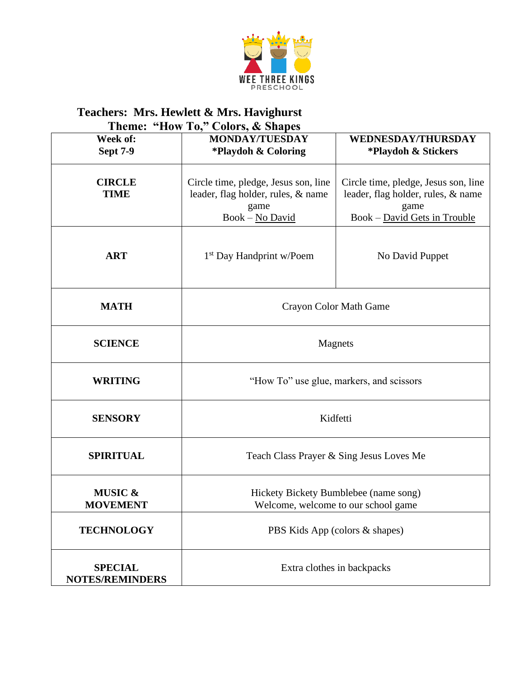

## **Teachers: Mrs. Hewlett & Mrs. Havighurst**

|                                          | Theme: "How To," Colors, & Shapes                                                                     |                                                                                                                    |  |  |  |
|------------------------------------------|-------------------------------------------------------------------------------------------------------|--------------------------------------------------------------------------------------------------------------------|--|--|--|
| Week of:<br><b>Sept 7-9</b>              | <b>MONDAY/TUESDAY</b><br>*Playdoh & Coloring                                                          | <b>WEDNESDAY/THURSDAY</b><br>*Playdoh & Stickers                                                                   |  |  |  |
| <b>CIRCLE</b><br><b>TIME</b>             | Circle time, pledge, Jesus son, line<br>leader, flag holder, rules, & name<br>game<br>Book - No David | Circle time, pledge, Jesus son, line<br>leader, flag holder, rules, & name<br>game<br>Book - David Gets in Trouble |  |  |  |
| <b>ART</b>                               | 1 <sup>st</sup> Day Handprint w/Poem                                                                  | No David Puppet                                                                                                    |  |  |  |
| <b>MATH</b>                              | Crayon Color Math Game                                                                                |                                                                                                                    |  |  |  |
| <b>SCIENCE</b>                           | Magnets                                                                                               |                                                                                                                    |  |  |  |
| <b>WRITING</b>                           | "How To" use glue, markers, and scissors                                                              |                                                                                                                    |  |  |  |
| <b>SENSORY</b>                           | Kidfetti                                                                                              |                                                                                                                    |  |  |  |
| <b>SPIRITUAL</b>                         | Teach Class Prayer & Sing Jesus Loves Me                                                              |                                                                                                                    |  |  |  |
| <b>MUSIC &amp;</b><br><b>MOVEMENT</b>    | Hickety Bickety Bumblebee (name song)<br>Welcome, welcome to our school game                          |                                                                                                                    |  |  |  |
| <b>TECHNOLOGY</b>                        | PBS Kids App (colors & shapes)                                                                        |                                                                                                                    |  |  |  |
| <b>SPECIAL</b><br><b>NOTES/REMINDERS</b> | Extra clothes in backpacks                                                                            |                                                                                                                    |  |  |  |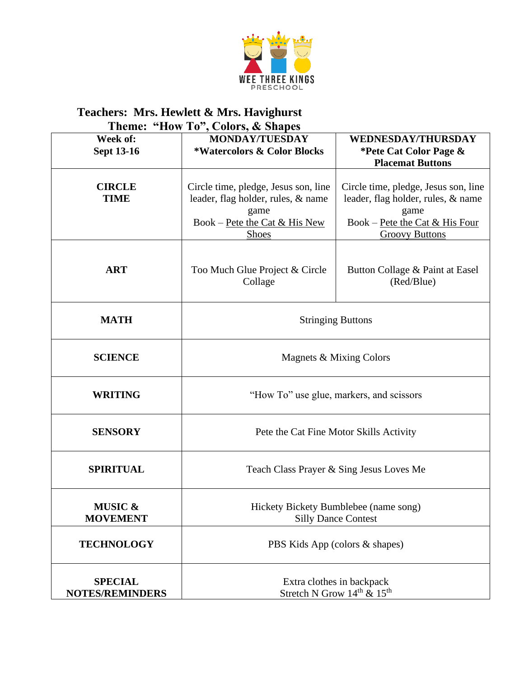

## **Teachers: Mrs. Hewlett & Mrs. Havighurst**

| Theme: "How To", Colors, & Shapes        |                                                                                                                                     |                                                                                                                                               |  |  |
|------------------------------------------|-------------------------------------------------------------------------------------------------------------------------------------|-----------------------------------------------------------------------------------------------------------------------------------------------|--|--|
| Week of:<br><b>Sept 13-16</b>            | <b>MONDAY/TUESDAY</b><br>*Watercolors & Color Blocks                                                                                | <b>WEDNESDAY/THURSDAY</b><br>*Pete Cat Color Page &<br><b>Placemat Buttons</b>                                                                |  |  |
| <b>CIRCLE</b><br><b>TIME</b>             | Circle time, pledge, Jesus son, line<br>leader, flag holder, rules, & name<br>game<br>Book – Pete the Cat & His New<br><b>Shoes</b> | Circle time, pledge, Jesus son, line<br>leader, flag holder, rules, & name<br>game<br>Book – Pete the Cat & His Four<br><b>Groovy Buttons</b> |  |  |
| <b>ART</b>                               | Too Much Glue Project & Circle<br>Collage                                                                                           | Button Collage & Paint at Easel<br>(Red/Blue)                                                                                                 |  |  |
| <b>MATH</b>                              | <b>Stringing Buttons</b>                                                                                                            |                                                                                                                                               |  |  |
| <b>SCIENCE</b>                           | Magnets & Mixing Colors                                                                                                             |                                                                                                                                               |  |  |
| <b>WRITING</b>                           | "How To" use glue, markers, and scissors                                                                                            |                                                                                                                                               |  |  |
| <b>SENSORY</b>                           | Pete the Cat Fine Motor Skills Activity                                                                                             |                                                                                                                                               |  |  |
| <b>SPIRITUAL</b>                         | Teach Class Prayer & Sing Jesus Loves Me                                                                                            |                                                                                                                                               |  |  |
| <b>MUSIC &amp;</b><br><b>MOVEMENT</b>    | Hickety Bickety Bumblebee (name song)<br><b>Silly Dance Contest</b>                                                                 |                                                                                                                                               |  |  |
| <b>TECHNOLOGY</b>                        | PBS Kids App (colors & shapes)                                                                                                      |                                                                                                                                               |  |  |
| <b>SPECIAL</b><br><b>NOTES/REMINDERS</b> | Extra clothes in backpack<br>Stretch N Grow $14^{\text{th}}$ & $15^{\text{th}}$                                                     |                                                                                                                                               |  |  |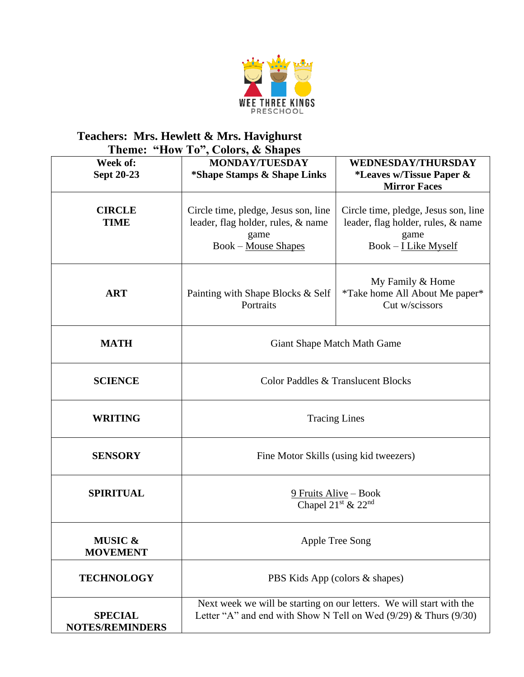

## **Teachers: Mrs. Hewlett & Mrs. Havighurst Theme: "How To", Colors, & Shapes**

| Week of:<br>Sept 20-23                   | 10, 50000, 80000<br><b>MONDAY/TUESDAY</b><br>*Shape Stamps & Shape Links                                                                     | <b>WEDNESDAY/THURSDAY</b><br>*Leaves w/Tissue Paper &<br><b>Mirror Faces</b>                                 |
|------------------------------------------|----------------------------------------------------------------------------------------------------------------------------------------------|--------------------------------------------------------------------------------------------------------------|
| <b>CIRCLE</b><br><b>TIME</b>             | Circle time, pledge, Jesus son, line<br>leader, flag holder, rules, & name<br>game<br><b>Book</b> – Mouse Shapes                             | Circle time, pledge, Jesus son, line<br>leader, flag holder, rules, & name<br>game<br>$Book - I Like Myself$ |
| <b>ART</b>                               | Painting with Shape Blocks & Self<br>Portraits                                                                                               | My Family & Home<br><i>*Take home All About Me paper*</i><br>Cut w/scissors                                  |
| <b>MATH</b>                              | Giant Shape Match Math Game                                                                                                                  |                                                                                                              |
| <b>SCIENCE</b>                           | Color Paddles & Translucent Blocks                                                                                                           |                                                                                                              |
| <b>WRITING</b>                           | <b>Tracing Lines</b>                                                                                                                         |                                                                                                              |
| <b>SENSORY</b>                           | Fine Motor Skills (using kid tweezers)                                                                                                       |                                                                                                              |
| <b>SPIRITUAL</b>                         | 9 Fruits Alive - Book<br>Chapel 21 <sup>st</sup> & 22 <sup>nd</sup>                                                                          |                                                                                                              |
| MUSIC &<br><b>MOVEMENT</b>               | Apple Tree Song                                                                                                                              |                                                                                                              |
| <b>TECHNOLOGY</b>                        | PBS Kids App (colors & shapes)                                                                                                               |                                                                                                              |
| <b>SPECIAL</b><br><b>NOTES/REMINDERS</b> | Next week we will be starting on our letters. We will start with the<br>Letter "A" and end with Show N Tell on Wed $(9/29)$ & Thurs $(9/30)$ |                                                                                                              |